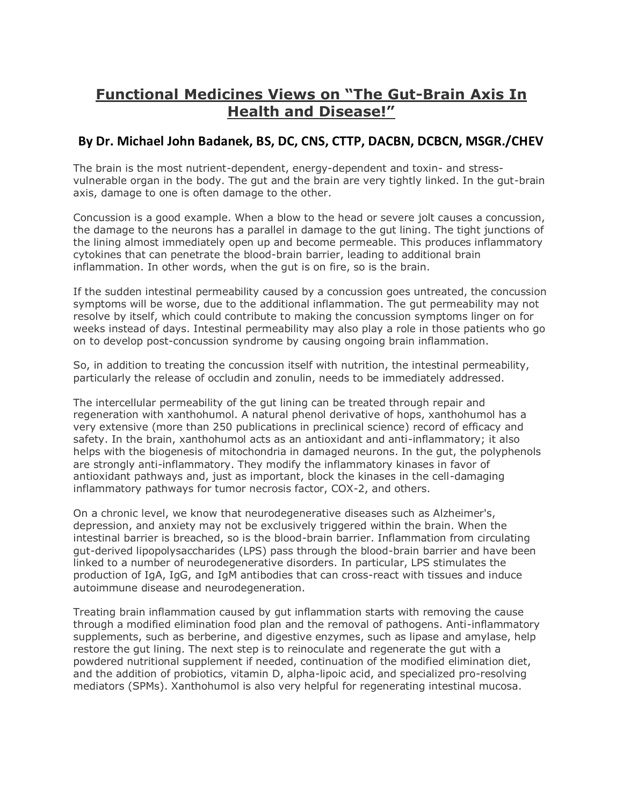## **Functional Medicines Views on "The Gut-Brain Axis In Health and Disease!"**

## **By Dr. Michael John Badanek, BS, DC, CNS, CTTP, DACBN, DCBCN, MSGR./CHEV**

The brain is the most nutrient-dependent, energy-dependent and toxin- and stressvulnerable organ in the body. The gut and the brain are very tightly linked. In the gut-brain axis, damage to one is often damage to the other.

Concussion is a good example. When a blow to the head or severe jolt causes a concussion, the damage to the neurons has a parallel in damage to the gut lining. The tight junctions of the lining almost immediately open up and become permeable. This produces inflammatory cytokines that can penetrate the blood-brain barrier, leading to additional brain inflammation. In other words, when the gut is on fire, so is the brain.

If the sudden intestinal permeability caused by a concussion goes untreated, the concussion symptoms will be worse, due to the additional inflammation. The gut permeability may not resolve by itself, which could contribute to making the concussion symptoms linger on for weeks instead of days. Intestinal permeability may also play a role in those patients who go on to develop post-concussion syndrome by causing ongoing brain inflammation.

So, in addition to treating the concussion itself with nutrition, the intestinal permeability, particularly the release of occludin and zonulin, needs to be immediately addressed.

The intercellular permeability of the gut lining can be treated through repair and regeneration with xanthohumol. A natural phenol derivative of hops, xanthohumol has a very extensive (more than 250 publications in preclinical science) record of efficacy and safety. In the brain, xanthohumol acts as an antioxidant and anti-inflammatory; it also helps with the biogenesis of mitochondria in damaged neurons. In the gut, the polyphenols are strongly anti-inflammatory. They modify the inflammatory kinases in favor of antioxidant pathways and, just as important, block the kinases in the cell-damaging inflammatory pathways for tumor necrosis factor, COX-2, and others.

On a chronic level, we know that neurodegenerative diseases such as Alzheimer's, depression, and anxiety may not be exclusively triggered within the brain. When the intestinal barrier is breached, so is the blood-brain barrier. Inflammation from circulating gut-derived lipopolysaccharides (LPS) pass through the blood-brain barrier and have been linked to a number of neurodegenerative disorders. In particular, LPS stimulates the production of IgA, IgG, and IgM antibodies that can cross-react with tissues and induce autoimmune disease and neurodegeneration.

Treating brain inflammation caused by gut inflammation starts with removing the cause through a modified elimination food plan and the removal of pathogens. Anti-inflammatory supplements, such as berberine, and digestive enzymes, such as lipase and amylase, help restore the gut lining. The next step is to reinoculate and regenerate the gut with a powdered nutritional supplement if needed, continuation of the modified elimination diet, and the addition of probiotics, vitamin D, alpha-lipoic acid, and specialized pro-resolving mediators (SPMs). Xanthohumol is also very helpful for regenerating intestinal mucosa.